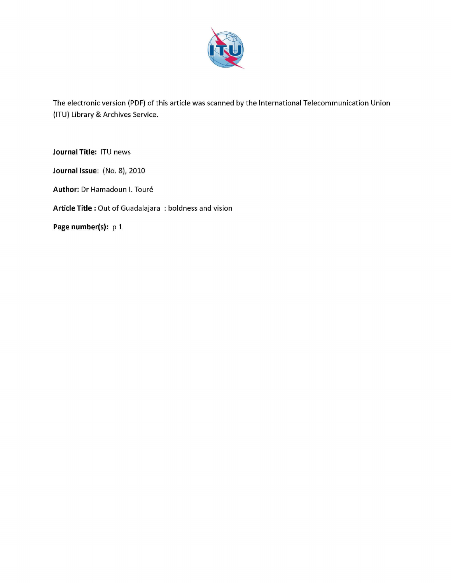

The electronic version (PDF) of this article was scanned by the International Telecommunication Union (ITU) Library & Archives Service.

**Journal Title:** ITU news

**Journal Issue:** (No. 8), 2010

**Author:** Dr Hamadoun I. Toure

**Article Title** : Out of Guadalajara : boldness and vision

**Page number(s): p1**